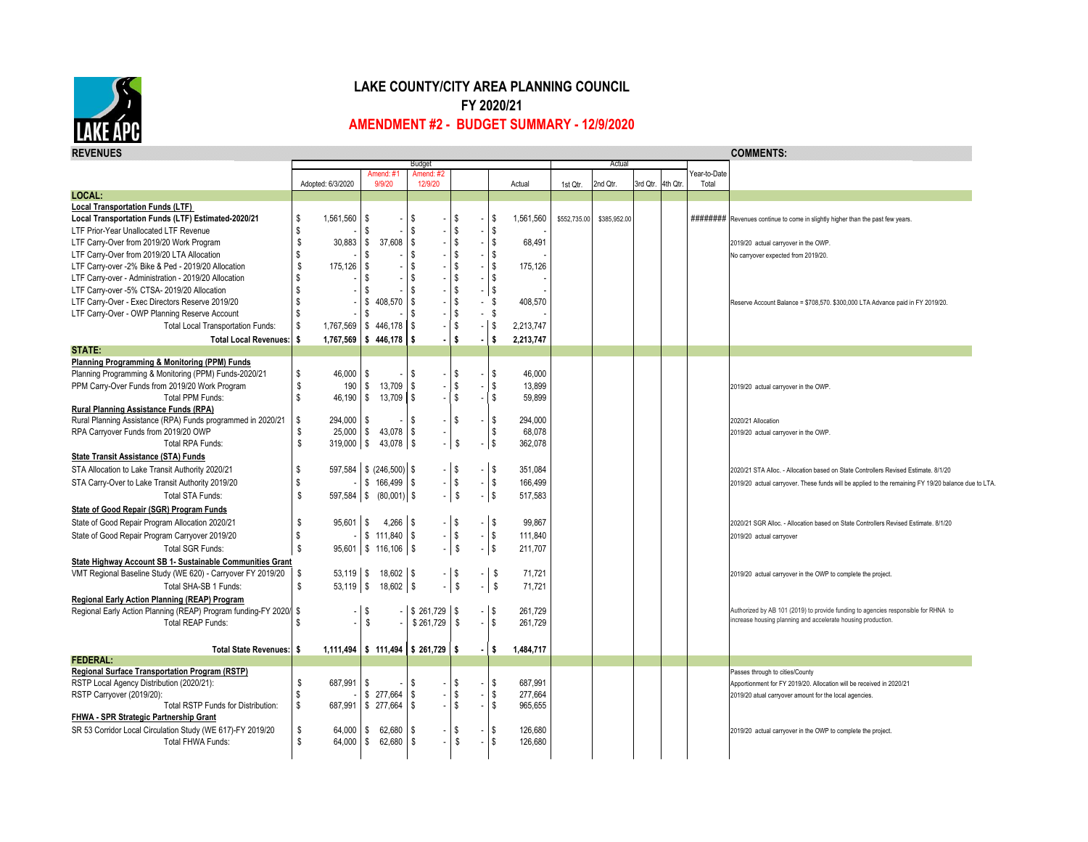

## **LAKE COUNTY/CITY AREA PLANNING COUNCIL FY 2020/21 AMENDMENT #2 - BUDGET SUMMARY - 12/9/2020**

| <b>REVENUES</b>                                                   |                             |                                          | Budget               |                           |            |           |              |              |          |         |                       | <b>COMMENTS:</b>                                                                                   |
|-------------------------------------------------------------------|-----------------------------|------------------------------------------|----------------------|---------------------------|------------|-----------|--------------|--------------|----------|---------|-----------------------|----------------------------------------------------------------------------------------------------|
|                                                                   |                             |                                          |                      |                           | Actual     |           |              |              |          |         |                       |                                                                                                    |
|                                                                   | Adopted: 6/3/2020           | Amend: #1<br>9/9/20                      | Amend: #2<br>12/9/20 |                           |            | Actual    | 1st Qtr.     | 2nd Qtr.     | 3rd Qtr. | 4th Qtr | Year-to-Date<br>Total |                                                                                                    |
| <b>LOCAL:</b>                                                     |                             |                                          |                      |                           |            |           |              |              |          |         |                       |                                                                                                    |
| <b>Local Transportation Funds (LTF)</b>                           |                             |                                          |                      |                           |            |           |              |              |          |         |                       |                                                                                                    |
| Local Transportation Funds (LTF) Estimated-2020/21                | \$<br>1,561,560             | - S                                      | S                    | \$                        | \$         | 1,561,560 | \$552,735.00 | \$385,952.00 |          |         |                       | ######### Revenues continue to come in slightly higher than the past few years.                    |
| LTF Prior-Year Unallocated LTF Revenue                            | \$                          | -S                                       | \$                   | \$                        | \$         |           |              |              |          |         |                       |                                                                                                    |
| LTF Carry-Over from 2019/20 Work Program                          | \$<br>$30,883$ \$           | 37,608                                   | $\sqrt{3}$           | \$                        | $\sqrt{3}$ | 68,491    |              |              |          |         |                       | 2019/20 actual carryover in the OWP.                                                               |
| LTF Carry-Over from 2019/20 LTA Allocation                        |                             |                                          | \$                   | \$                        | \$         |           |              |              |          |         |                       | No carryover expected from 2019/20.                                                                |
| LTF Carry-over -2% Bike & Ped - 2019/20 Allocation                | 175,126                     | IS.                                      | \$                   | \$                        | $\sqrt{3}$ | 175,126   |              |              |          |         |                       |                                                                                                    |
| LTF Carry-over - Administration - 2019/20 Allocation              | S                           | S                                        | \$                   | \$                        | $\sqrt{3}$ |           |              |              |          |         |                       |                                                                                                    |
| LTF Carry-over -5% CTSA- 2019/20 Allocation                       | <b>S</b>                    | s.                                       | S                    | \$                        | \$         |           |              |              |          |         |                       |                                                                                                    |
| LTF Carry-Over - Exec Directors Reserve 2019/20                   | -S                          | 408,570<br>\$                            | l \$                 | \$                        | - \$       | 408,570   |              |              |          |         |                       |                                                                                                    |
| LTF Carry-Over - OWP Planning Reserve Account                     | \$                          | - 56                                     | \$                   | \$                        | - \$       |           |              |              |          |         |                       | Reserve Account Balance = \$708,570. \$300,000 LTA Advance paid in FY 2019/20.                     |
| <b>Total Local Transportation Funds:</b>                          | \$                          | 1,767,569 \$446,178                      | -S                   | \$                        | $\sqrt{ }$ | 2,213,747 |              |              |          |         |                       |                                                                                                    |
|                                                                   |                             |                                          |                      |                           |            |           |              |              |          |         |                       |                                                                                                    |
| Total Local Revenues:   \$<br>STATE:                              |                             | $1,767,569$ \$446,178                    | l s                  | s.                        | S,         | 2,213,747 |              |              |          |         |                       |                                                                                                    |
| Planning Programming & Monitoring (PPM) Funds                     |                             |                                          |                      |                           |            |           |              |              |          |         |                       |                                                                                                    |
| Planning Programming & Monitoring (PPM) Funds-2020/21             | \$<br>46,000                | l S                                      | \$                   | \$                        | \$         | 46,000    |              |              |          |         |                       |                                                                                                    |
| PPM Carry-Over Funds from 2019/20 Work Program                    | \$<br>190                   | 13,709<br>l \$                           | \$                   | \$                        | \$         | 13,899    |              |              |          |         |                       | 2019/20 actual carryover in the OWP.                                                               |
| <b>Total PPM Funds:</b>                                           | s.                          | 46,190 \$ 13,709 \$                      |                      | $\boldsymbol{\mathsf{S}}$ | $\sqrt{3}$ | 59,899    |              |              |          |         |                       |                                                                                                    |
| Rural Planning Assistance Funds (RPA)                             |                             |                                          |                      |                           |            |           |              |              |          |         |                       |                                                                                                    |
| Rural Planning Assistance (RPA) Funds programmed in 2020/21       | $\sqrt{2}$<br>$294,000$ \\$ |                                          | \$                   | \$                        | \$         | 294,000   |              |              |          |         |                       | 2020/21 Allocation                                                                                 |
| RPA Carryover Funds from 2019/20 OWP                              | \$                          | 25,000 \$ 43,078                         | l \$                 |                           | \$         | 68,078    |              |              |          |         |                       | 2019/20 actual carryover in the OWP.                                                               |
| Total RPA Funds:                                                  | \$<br>$319,000$ \ \$        | 43,078   \$                              |                      | \$                        | l \$       | 362,078   |              |              |          |         |                       |                                                                                                    |
| <b>State Transit Assistance (STA) Funds</b>                       |                             |                                          |                      |                           |            |           |              |              |          |         |                       |                                                                                                    |
| STA Allocation to Lake Transit Authority 2020/21                  | \$                          | 597,584   \$ (246,500)   \$              |                      | \$                        | $-$ \$     | 351,084   |              |              |          |         |                       | 2020/21 STA Alloc. - Allocation based on State Controllers Revised Estimate. 8/1/20                |
|                                                                   | - \$                        | $-$ \$ 166,499 \$                        |                      | $\$\$                     | $-$ \$     | 166,499   |              |              |          |         |                       |                                                                                                    |
| STA Carry-Over to Lake Transit Authority 2019/20                  |                             |                                          |                      |                           |            |           |              |              |          |         |                       | 2019/20 actual carryover. These funds will be applied to the remaining FY 19/20 balance due to LTA |
| Total STA Funds:                                                  | \$                          | $597,584$ \ \$ $(80,001)$ \ \$           |                      | s                         | $ $ \$     | 517,583   |              |              |          |         |                       |                                                                                                    |
| State of Good Repair (SGR) Program Funds                          |                             |                                          |                      |                           |            |           |              |              |          |         |                       |                                                                                                    |
| State of Good Repair Program Allocation 2020/21                   | \$<br>$95,601$ \$           | $4,266$ \ \$                             |                      | $-$ \$                    | $-1$ \$    | 99,867    |              |              |          |         |                       | 2020/21 SGR Alloc. - Allocation based on State Controllers Revised Estimate. 8/1/20                |
| State of Good Repair Program Carryover 2019/20                    | <b>S</b>                    | $-$ \$ 111,840 $\frac{1}{3}$             |                      | $\,$                      | \$         | 111,840   |              |              |          |         |                       | 2019/20 actual carryover                                                                           |
| Total SGR Funds:                                                  | \$                          | $95,601$ \$ 116,106 \$                   |                      | $\sqrt[6]{3}$             | \$         | 211,707   |              |              |          |         |                       |                                                                                                    |
| State Highway Account SB 1- Sustainable Communities Grant         |                             |                                          |                      |                           |            |           |              |              |          |         |                       |                                                                                                    |
| VMT Regional Baseline Study (WE 620) - Carryover FY 2019/20       | $53,119$ \$<br><b>\$</b>    | $18,602$ \ \$                            |                      | $-$ \$                    | <b>\$</b>  | 71,721    |              |              |          |         |                       | 2019/20 actual carryover in the OWP to complete the project.                                       |
| Total SHA-SB 1 Funds:                                             | \$                          | 53,119 \$ 18,602 \$                      |                      | s                         | \$         | 71,721    |              |              |          |         |                       |                                                                                                    |
| Regional Early Action Planning (REAP) Program                     |                             |                                          |                      |                           |            |           |              |              |          |         |                       |                                                                                                    |
| Regional Early Action Planning (REAP) Program funding-FY 2020/ \$ |                             | - IS                                     | $-$ \$261,729 \$     |                           | -   \$     | 261,729   |              |              |          |         |                       | Authorized by AB 101 (2019) to provide funding to agencies responsible for RHNA to                 |
| Total REAP Funds:                                                 | l \$                        | \$                                       | \$261,729            | -S                        | $\sqrt{3}$ | 261,729   |              |              |          |         |                       | increase housing planning and accelerate housing production.                                       |
|                                                                   |                             |                                          |                      |                           |            |           |              |              |          |         |                       |                                                                                                    |
| Total State Revenues: \$                                          |                             | $1,111,494$   \$111,494   \$261,729   \$ |                      |                           | l \$       | 1,484,717 |              |              |          |         |                       |                                                                                                    |
| <b>FEDERAL:</b>                                                   |                             |                                          |                      |                           |            |           |              |              |          |         |                       |                                                                                                    |
| Regional Surface Transportation Program (RSTP)                    |                             |                                          |                      |                           |            |           |              |              |          |         |                       | Passes through to cities/County                                                                    |
| RSTP Local Agency Distribution (2020/21):                         | \$<br>687,991 \$            |                                          | \$                   | \$                        | \$         | 687,991   |              |              |          |         |                       | Apportionment for FY 2019/20. Allocation will be received in 2020/21                               |
| RSTP Carryover (2019/20):                                         | <b>S</b>                    | \$ 277,664                               | \$                   | \$                        | \$         | 277,664   |              |              |          |         |                       | 2019/20 atual carryover amount for the local agencies.                                             |
| <b>Total RSTP Funds for Distribution:</b>                         | $\sqrt{3}$                  | 687,991 \$ 277,664                       | <b>S</b>             | \$                        | \$         | 965,655   |              |              |          |         |                       |                                                                                                    |
| FHWA - SPR Strategic Partnership Grant                            |                             |                                          |                      |                           |            |           |              |              |          |         |                       |                                                                                                    |
| SR 53 Corridor Local Circulation Study (WE 617)-FY 2019/20        | \$<br>$64,000$   \$         | 62,680                                   | -S                   | \$                        | $\sqrt{3}$ | 126,680   |              |              |          |         |                       | 2019/20 actual carryover in the OWP to complete the project.                                       |
| Total FHWA Funds:                                                 | s.<br>64,000 \$             | 62,680                                   | S.                   | S                         | \$         | 126,680   |              |              |          |         |                       |                                                                                                    |
|                                                                   |                             |                                          |                      |                           |            |           |              |              |          |         |                       |                                                                                                    |
|                                                                   |                             |                                          |                      |                           |            |           |              |              |          |         |                       |                                                                                                    |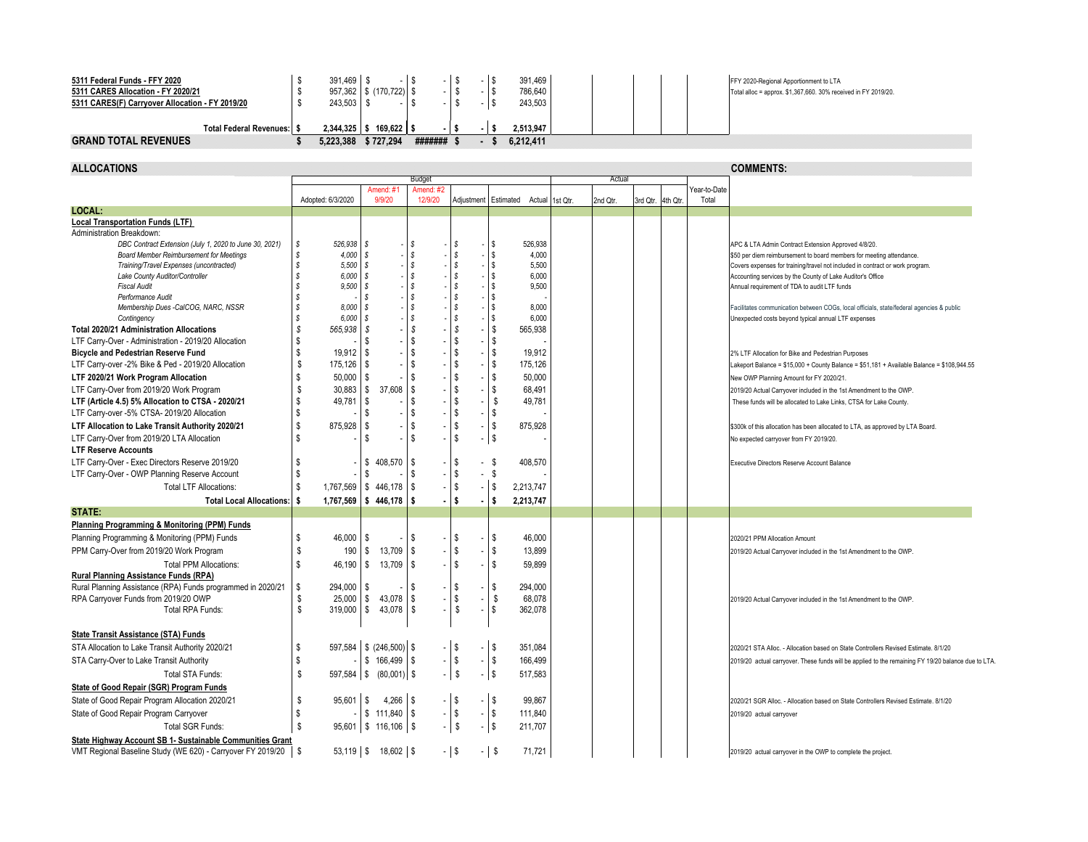| 5311 Federal Funds - FFY 2020                   | 391.469        |              |         |  | 391,469   | FFY 2020-Regional Apportionment to LTA                         |  |
|-------------------------------------------------|----------------|--------------|---------|--|-----------|----------------------------------------------------------------|--|
| 5311 CARES Allocation - FY 2020/21              | 957,362        | \$(170, 722) |         |  | 786,640   | Total alloc = approx. \$1,367,660. 30% received in FY 2019/20. |  |
| 5311 CARES(F) Carryover Allocation - FY 2019/20 | 243,503        |              |         |  | 243,503   |                                                                |  |
|                                                 |                |              |         |  |           |                                                                |  |
| <b>Total Federal Revenues: \$</b>               | $2,344,325$ \$ | 169.622      |         |  | 2.513.947 |                                                                |  |
| <b>GRAND TOTAL REVENUES</b>                     | 5,223,388      | \$727,294    | ####### |  | 6.212.411 |                                                                |  |

**Color** 

| <b>ALLOCATIONS</b>                                             |                                |                            |                                  |                                                       |                             |          |          |                   |                       | <b>COMMENTS:</b>                                                                                   |
|----------------------------------------------------------------|--------------------------------|----------------------------|----------------------------------|-------------------------------------------------------|-----------------------------|----------|----------|-------------------|-----------------------|----------------------------------------------------------------------------------------------------|
|                                                                |                                |                            | Budget                           |                                                       |                             |          | Actual   |                   |                       |                                                                                                    |
|                                                                | Adopted: 6/3/2020              | Amend: #1<br>9/9/20        | Amend: #<br>12/9/20              |                                                       |                             |          |          | 3rd Qtr. 4th Qtr. | Year-to-Date<br>Total |                                                                                                    |
| LOCAL:                                                         |                                |                            |                                  |                                                       | Adjustment Estimated Actual | 1st Qtr. | 2nd Qtr. |                   |                       |                                                                                                    |
| <b>Local Transportation Funds (LTF)</b>                        |                                |                            |                                  |                                                       |                             |          |          |                   |                       |                                                                                                    |
| Administration Breakdown:                                      |                                |                            |                                  |                                                       |                             |          |          |                   |                       |                                                                                                    |
| DBC Contract Extension (July 1, 2020 to June 30, 2021)         | 526,938 \$<br>S                |                            | S                                | s                                                     | \$<br>526,938               |          |          |                   |                       | APC & LTA Admin Contract Extension Approved 4/8/20.                                                |
| Board Member Reimbursement for Meetings                        | s<br>4,000                     | l s                        | \$                               | \$                                                    | \$<br>4,000                 |          |          |                   |                       | \$50 per diem reimbursement to board members for meeting attendance.                               |
| Training/Travel Expenses (uncontracted)                        | 5,500<br>s                     | l s                        | $\mathcal{S}$                    | <sub>S</sub>                                          | $\mathbf{s}$<br>5,500       |          |          |                   |                       | Covers expenses for training/travel not included in contract or work program.                      |
| Lake County Auditor/Controller                                 | 6,000<br>s                     | l s                        | \$                               | s                                                     | $\mathbf{s}$<br>6,000       |          |          |                   |                       | Accounting services by the County of Lake Auditor's Office                                         |
| <b>Fiscal Audit</b>                                            | 9,500<br>s.                    | l S                        |                                  | s                                                     | <b>S</b><br>9,500           |          |          |                   |                       | Annual requirement of TDA to audit LTF funds                                                       |
| Performance Audit                                              | \$                             | S                          |                                  |                                                       | \$                          |          |          |                   |                       |                                                                                                    |
| Membership Dues -CalCOG, NARC, NSSR                            | s<br>8,000                     | -S                         | s                                | s                                                     | s<br>8,000                  |          |          |                   |                       | Facilitates communication between COGs, local officials, state/federal agencies & public           |
| Contingency                                                    | 6,000<br>s                     | s                          | \$                               | S                                                     | s<br>6,000                  |          |          |                   |                       | Unexpected costs beyond typical annual LTF expenses                                                |
| <b>Total 2020/21 Administration Allocations</b>                | S<br>565,938                   | l S                        | S                                | s                                                     | \$<br>565,938               |          |          |                   |                       |                                                                                                    |
| LTF Carry-Over - Administration - 2019/20 Allocation           | S                              | £.                         | \$                               | \$                                                    | \$                          |          |          |                   |                       |                                                                                                    |
| <b>Bicycle and Pedestrian Reserve Fund</b>                     | <b>S</b><br>19.912             | $\mathfrak{g}$             | \$                               | \$                                                    | \$<br>19.912                |          |          |                   |                       | 2% LTF Allocation for Bike and Pedestrian Purposes                                                 |
| LTF Carry-over -2% Bike & Ped - 2019/20 Allocation             | \$<br>175,126                  | l \$                       | \$                               | \$                                                    | \$<br>175.126               |          |          |                   |                       | Lakeport Balance = \$15,000 + County Balance = \$51,181 + Available Balance = \$108,944.55         |
| LTF 2020/21 Work Program Allocation                            | <b>S</b><br>50,000             | - \$                       | \$                               | \$                                                    | \$<br>50.000                |          |          |                   |                       | New OWP Planning Amount for FY 2020/21.                                                            |
| LTF Carry-Over from 2019/20 Work Program                       | 30,883<br>\$                   | $\sqrt{3}$<br>37,608       | <b>S</b>                         | \$                                                    | \$<br>68,491                |          |          |                   |                       | 2019/20 Actual Carryover included in the 1st Amendment to the OWP.                                 |
| LTF (Article 4.5) 5% Allocation to CTSA - 2020/21              | 49,781<br>S                    | \$                         | \$                               | S                                                     | \$<br>49,781                |          |          |                   |                       | These funds will be allocated to Lake Links, CTSA for Lake County.                                 |
| LTF Carry-over -5% CTSA- 2019/20 Allocation                    | S                              | \$                         | \$                               | \$                                                    | \$                          |          |          |                   |                       |                                                                                                    |
| LTF Allocation to Lake Transit Authority 2020/21               | $\mathsf{\$}$<br>875,928       | l \$                       | \$                               | $\boldsymbol{\mathsf{s}}$<br>$\overline{\phantom{a}}$ | \$<br>875,928               |          |          |                   |                       | \$300k of this allocation has been allocated to LTA, as approved by LTA Board.                     |
|                                                                | \$                             | S,                         | \$                               | \$                                                    | $\sqrt{3}$                  |          |          |                   |                       |                                                                                                    |
| LTF Carry-Over from 2019/20 LTA Allocation                     |                                |                            |                                  | $\overline{a}$                                        |                             |          |          |                   |                       | No expected carryover from FY 2019/20.                                                             |
| <b>LTF Reserve Accounts</b>                                    |                                |                            |                                  |                                                       |                             |          |          |                   |                       |                                                                                                    |
| LTF Carry-Over - Exec Directors Reserve 2019/20                | - \$                           | 408,570<br>\$              | - \$<br>$\overline{\phantom{a}}$ | \$                                                    | - \$<br>408,570             |          |          |                   |                       | Executive Directors Reserve Account Balance                                                        |
| LTF Carry-Over - OWP Planning Reserve Account                  | \$                             | -S                         | \$                               | \$                                                    | - \$                        |          |          |                   |                       |                                                                                                    |
| <b>Total LTF Allocations:</b>                                  | - \$                           | 1,767,569   \$446,178      | \$                               | s.                                                    | $-1$ \$<br>2,213,747        |          |          |                   |                       |                                                                                                    |
| <b>Total Local Allocations:</b>                                | 1,767,569<br>-S                | $\frac{1}{2}$ 446,178      | -S                               | \$                                                    | Ŝ<br>2,213,747              |          |          |                   |                       |                                                                                                    |
| STATE:                                                         |                                |                            |                                  |                                                       |                             |          |          |                   |                       |                                                                                                    |
| <b>Planning Programming &amp; Monitoring (PPM) Funds</b>       |                                |                            |                                  |                                                       |                             |          |          |                   |                       |                                                                                                    |
| Planning Programming & Monitoring (PPM) Funds                  | \$<br>$46,000$   \$            |                            | S                                | \$<br>$\overline{\phantom{a}}$                        | \$<br>46,000                |          |          |                   |                       | 2020/21 PPM Allocation Amount                                                                      |
| PPM Carry-Over from 2019/20 Work Program                       | $\sqrt[6]{\frac{1}{2}}$<br>190 | \$<br>13,709               | \$                               | \$                                                    | \$<br>13,899                |          |          |                   |                       | 2019/20 Actual Carryover included in the 1st Amendment to the OWP.                                 |
| <b>Total PPM Allocations:</b>                                  | <b>S</b><br>46,190             | 13,709<br>\$               | \$                               | ${\mathbb S}$                                         | \$<br>59,899                |          |          |                   |                       |                                                                                                    |
| Rural Planning Assistance Funds (RPA)                          |                                |                            |                                  |                                                       |                             |          |          |                   |                       |                                                                                                    |
| Rural Planning Assistance (RPA) Funds programmed in 2020/21    | \$<br>294,000                  | l S                        | S                                | \$                                                    | \$<br>294,000               |          |          |                   |                       |                                                                                                    |
| RPA Carryover Funds from 2019/20 OWP                           | \$<br>25,000                   | <b>S</b><br>43,078         | \$                               | s.<br>$\overline{a}$                                  | \$<br>68.078                |          |          |                   |                       |                                                                                                    |
| Total RPA Funds:                                               | S<br>$319,000$ $\sqrt{S}$      | $43,078$ $\frac{8}{3}$     |                                  | \$                                                    | \$<br>362,078               |          |          |                   |                       | 2019/20 Actual Carryover included in the 1st Amendment to the OWP.                                 |
|                                                                |                                |                            |                                  |                                                       |                             |          |          |                   |                       |                                                                                                    |
|                                                                |                                |                            |                                  |                                                       |                             |          |          |                   |                       |                                                                                                    |
| State Transit Assistance (STA) Funds                           |                                |                            |                                  |                                                       |                             |          |          |                   |                       |                                                                                                    |
| STA Allocation to Lake Transit Authority 2020/21               | <b>S</b>                       | 597,584 \$ (246,500) \$    |                                  | l \$                                                  | $-1$ \$<br>351.084          |          |          |                   |                       | 2020/21 STA Alloc. - Allocation based on State Controllers Revised Estimate, 8/1/20                |
| STA Carry-Over to Lake Transit Authority                       | $\mathsf{\$}$                  | $$166,499$ \ \$            |                                  | $-$ \$                                                | $-$ \$<br>166,499           |          |          |                   |                       | 2019/20 actual carryover. These funds will be applied to the remaining FY 19/20 balance due to LTA |
| Total STA Funds:                                               | \$                             | $597,584$ \$ $(80,001)$ \$ |                                  | <b>S</b>                                              | - S<br>517,583              |          |          |                   |                       |                                                                                                    |
| <b>State of Good Repair (SGR) Program Funds</b>                |                                |                            |                                  |                                                       |                             |          |          |                   |                       |                                                                                                    |
| State of Good Repair Program Allocation 2020/21                | \$<br>95,601                   | $4,266$ \$<br>$\sqrt{2}$   |                                  | $-1$ \$                                               | $-$ \$<br>99,867            |          |          |                   |                       | 2020/21 SGR Alloc. - Allocation based on State Controllers Revised Estimate. 8/1/20                |
|                                                                |                                |                            |                                  |                                                       | $-1$ \$                     |          |          |                   |                       |                                                                                                    |
| State of Good Repair Program Carryover                         | \$                             |                            |                                  | $-$ \$                                                | 111,840                     |          |          |                   |                       | 2019/20 actual carryover                                                                           |
| Total SGR Funds:                                               | s.                             | $95,601$ \$ 116,106 \$     |                                  | $\mathbb S$                                           | $-1$ \$<br>211,707          |          |          |                   |                       |                                                                                                    |
| State Highway Account SB 1- Sustainable Communities Grant      |                                |                            |                                  |                                                       |                             |          |          |                   |                       |                                                                                                    |
| VMT Regional Baseline Study (WE 620) - Carryover FY 2019/20 \$ |                                | $53,119$ \$ 18,602 \$      |                                  | $-1$ \$                                               | $-1$ \$<br>71,721           |          |          |                   |                       | 2019/20 actual carryover in the OWP to complete the project                                        |